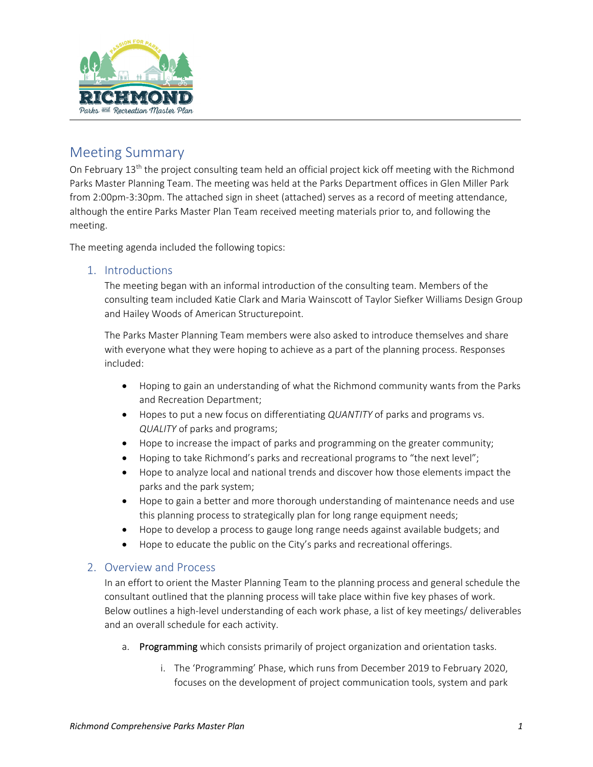

### Meeting Summary

On February  $13<sup>th</sup>$  the project consulting team held an official project kick off meeting with the Richmond Parks Master Planning Team. The meeting was held at the Parks Department offices in Glen Miller Park from 2:00pm‐3:30pm. The attached sign in sheet (attached) serves as a record of meeting attendance, although the entire Parks Master Plan Team received meeting materials prior to, and following the meeting.

The meeting agenda included the following topics:

#### 1. Introductions

The meeting began with an informal introduction of the consulting team. Members of the consulting team included Katie Clark and Maria Wainscott of Taylor Siefker Williams Design Group and Hailey Woods of American Structurepoint.

The Parks Master Planning Team members were also asked to introduce themselves and share with everyone what they were hoping to achieve as a part of the planning process. Responses included:

- Hoping to gain an understanding of what the Richmond community wants from the Parks and Recreation Department;
- Hopes to put a new focus on differentiating *QUANTITY* of parks and programs vs. *QUALITY* of parks and programs;
- Hope to increase the impact of parks and programming on the greater community;
- Hoping to take Richmond's parks and recreational programs to "the next level";
- Hope to analyze local and national trends and discover how those elements impact the parks and the park system;
- Hope to gain a better and more thorough understanding of maintenance needs and use this planning process to strategically plan for long range equipment needs;
- Hope to develop a process to gauge long range needs against available budgets; and
- Hope to educate the public on the City's parks and recreational offerings.

#### 2. Overview and Process

In an effort to orient the Master Planning Team to the planning process and general schedule the consultant outlined that the planning process will take place within five key phases of work. Below outlines a high‐level understanding of each work phase, a list of key meetings/ deliverables and an overall schedule for each activity.

- a. Programming which consists primarily of project organization and orientation tasks.
	- i. The 'Programming' Phase, which runs from December 2019 to February 2020, focuses on the development of project communication tools, system and park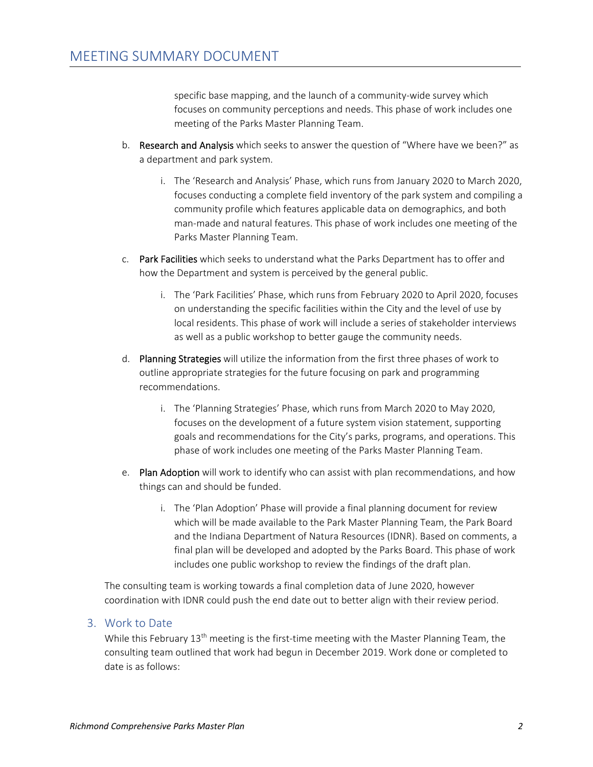specific base mapping, and the launch of a community-wide survey which focuses on community perceptions and needs. This phase of work includes one meeting of the Parks Master Planning Team.

- b. Research and Analysis which seeks to answer the question of "Where have we been?" as a department and park system.
	- i. The 'Research and Analysis' Phase, which runs from January 2020 to March 2020, focuses conducting a complete field inventory of the park system and compiling a community profile which features applicable data on demographics, and both man‐made and natural features. This phase of work includes one meeting of the Parks Master Planning Team.
- c. Park Facilities which seeks to understand what the Parks Department has to offer and how the Department and system is perceived by the general public.
	- i. The 'Park Facilities' Phase, which runs from February 2020 to April 2020, focuses on understanding the specific facilities within the City and the level of use by local residents. This phase of work will include a series of stakeholder interviews as well as a public workshop to better gauge the community needs.
- d. Planning Strategies will utilize the information from the first three phases of work to outline appropriate strategies for the future focusing on park and programming recommendations.
	- i. The 'Planning Strategies' Phase, which runs from March 2020 to May 2020, focuses on the development of a future system vision statement, supporting goals and recommendations for the City's parks, programs, and operations. This phase of work includes one meeting of the Parks Master Planning Team.
- e. Plan Adoption will work to identify who can assist with plan recommendations, and how things can and should be funded.
	- i. The 'Plan Adoption' Phase will provide a final planning document for review which will be made available to the Park Master Planning Team, the Park Board and the Indiana Department of Natura Resources (IDNR). Based on comments, a final plan will be developed and adopted by the Parks Board. This phase of work includes one public workshop to review the findings of the draft plan.

The consulting team is working towards a final completion data of June 2020, however coordination with IDNR could push the end date out to better align with their review period.

#### 3. Work to Date

While this February  $13<sup>th</sup>$  meeting is the first-time meeting with the Master Planning Team, the consulting team outlined that work had begun in December 2019. Work done or completed to date is as follows: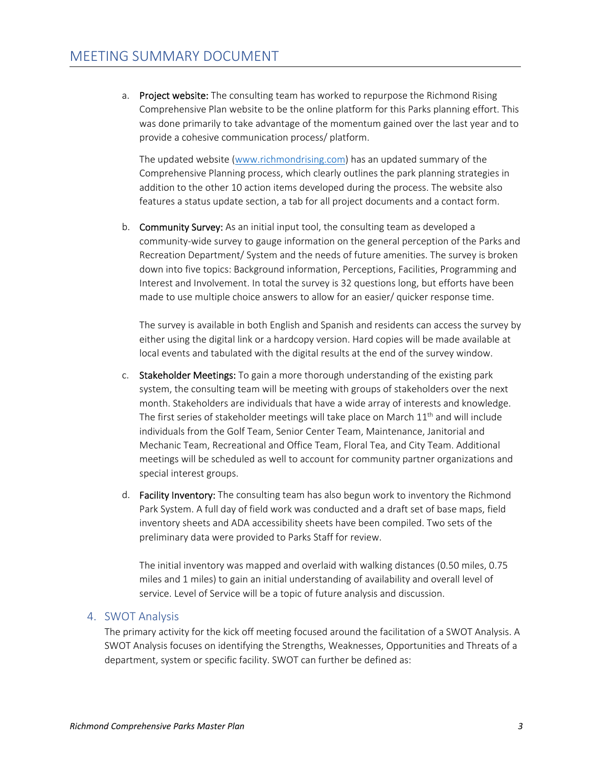a. Project website: The consulting team has worked to repurpose the Richmond Rising Comprehensive Plan website to be the online platform for this Parks planning effort. This was done primarily to take advantage of the momentum gained over the last year and to provide a cohesive communication process/ platform.

The updated website (www.richmondrising.com) has an updated summary of the Comprehensive Planning process, which clearly outlines the park planning strategies in addition to the other 10 action items developed during the process. The website also features a status update section, a tab for all project documents and a contact form.

b. Community Survey: As an initial input tool, the consulting team as developed a community-wide survey to gauge information on the general perception of the Parks and Recreation Department/ System and the needs of future amenities. The survey is broken down into five topics: Background information, Perceptions, Facilities, Programming and Interest and Involvement. In total the survey is 32 questions long, but efforts have been made to use multiple choice answers to allow for an easier/ quicker response time.

The survey is available in both English and Spanish and residents can access the survey by either using the digital link or a hardcopy version. Hard copies will be made available at local events and tabulated with the digital results at the end of the survey window.

- c. Stakeholder Meetings: To gain a more thorough understanding of the existing park system, the consulting team will be meeting with groups of stakeholders over the next month. Stakeholders are individuals that have a wide array of interests and knowledge. The first series of stakeholder meetings will take place on March  $11<sup>th</sup>$  and will include individuals from the Golf Team, Senior Center Team, Maintenance, Janitorial and Mechanic Team, Recreational and Office Team, Floral Tea, and City Team. Additional meetings will be scheduled as well to account for community partner organizations and special interest groups.
- d. Facility Inventory: The consulting team has also begun work to inventory the Richmond Park System. A full day of field work was conducted and a draft set of base maps, field inventory sheets and ADA accessibility sheets have been compiled. Two sets of the preliminary data were provided to Parks Staff for review.

The initial inventory was mapped and overlaid with walking distances (0.50 miles, 0.75 miles and 1 miles) to gain an initial understanding of availability and overall level of service. Level of Service will be a topic of future analysis and discussion.

#### 4. SWOT Analysis

The primary activity for the kick off meeting focused around the facilitation of a SWOT Analysis. A SWOT Analysis focuses on identifying the Strengths, Weaknesses, Opportunities and Threats of a department, system or specific facility. SWOT can further be defined as: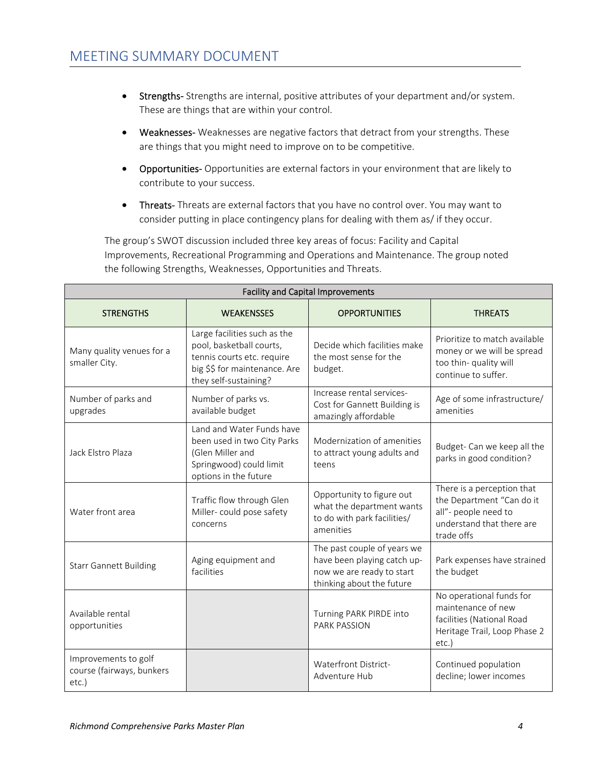- Strengths-Strengths are internal, positive attributes of your department and/or system. These are things that are within your control.
- Weaknesses‐ Weaknesses are negative factors that detract from your strengths. These are things that you might need to improve on to be competitive.
- Opportunities‐ Opportunities are external factors in your environment that are likely to contribute to your success.
- Threats-Threats are external factors that you have no control over. You may want to consider putting in place contingency plans for dealing with them as/ if they occur.

The group's SWOT discussion included three key areas of focus: Facility and Capital Improvements, Recreational Programming and Operations and Maintenance. The group noted the following Strengths, Weaknesses, Opportunities and Threats.

| <b>Facility and Capital Improvements</b>                   |                                                                                                                                                  |                                                                                                                      |                                                                                                                            |
|------------------------------------------------------------|--------------------------------------------------------------------------------------------------------------------------------------------------|----------------------------------------------------------------------------------------------------------------------|----------------------------------------------------------------------------------------------------------------------------|
| <b>STRENGTHS</b>                                           | <b>WEAKENSSES</b>                                                                                                                                | <b>OPPORTUNITIES</b>                                                                                                 | <b>THREATS</b>                                                                                                             |
| Many quality venues for a<br>smaller City.                 | Large facilities such as the<br>pool, basketball courts,<br>tennis courts etc. require<br>big \$\$ for maintenance. Are<br>they self-sustaining? | Decide which facilities make<br>the most sense for the<br>budget.                                                    | Prioritize to match available<br>money or we will be spread<br>too thin- quality will<br>continue to suffer.               |
| Number of parks and<br>upgrades                            | Number of parks vs.<br>available budget                                                                                                          | Increase rental services-<br>Cost for Gannett Building is<br>amazingly affordable                                    | Age of some infrastructure/<br>amenities                                                                                   |
| Jack Elstro Plaza                                          | Land and Water Funds have<br>been used in two City Parks<br>(Glen Miller and<br>Springwood) could limit<br>options in the future                 | Modernization of amenities<br>to attract young adults and<br>teens                                                   | Budget- Can we keep all the<br>parks in good condition?                                                                    |
| Water front area                                           | Traffic flow through Glen<br>Miller-could pose safety<br>concerns                                                                                | Opportunity to figure out<br>what the department wants<br>to do with park facilities/<br>amenities                   | There is a perception that<br>the Department "Can do it<br>all"- people need to<br>understand that there are<br>trade offs |
| <b>Starr Gannett Building</b>                              | Aging equipment and<br>facilities                                                                                                                | The past couple of years we<br>have been playing catch up-<br>now we are ready to start<br>thinking about the future | Park expenses have strained<br>the budget                                                                                  |
| Available rental<br>opportunities                          |                                                                                                                                                  | Turning PARK PIRDE into<br><b>PARK PASSION</b>                                                                       | No operational funds for<br>maintenance of new<br>facilities (National Road<br>Heritage Trail, Loop Phase 2<br>$etc.$ )    |
| Improvements to golf<br>course (fairways, bunkers<br>etc.) |                                                                                                                                                  | Waterfront District-<br>Adventure Hub                                                                                | Continued population<br>decline; lower incomes                                                                             |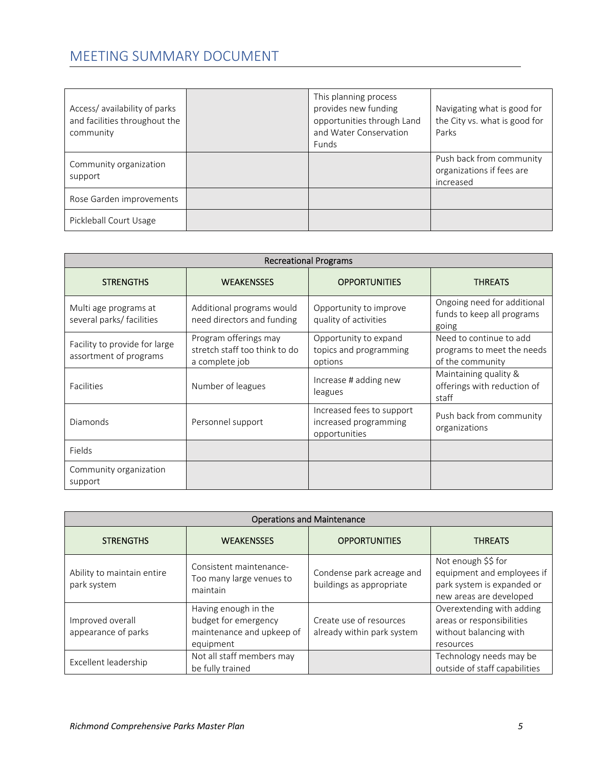# MEETING SUMMARY DOCUMENT

| Access/availability of parks<br>and facilities throughout the<br>community | This planning process<br>provides new funding<br>opportunities through Land<br>and Water Conservation<br>Funds | Navigating what is good for<br>the City vs. what is good for<br>Parks |
|----------------------------------------------------------------------------|----------------------------------------------------------------------------------------------------------------|-----------------------------------------------------------------------|
| Community organization<br>support                                          |                                                                                                                | Push back from community<br>organizations if fees are<br>increased    |
| Rose Garden improvements                                                   |                                                                                                                |                                                                       |
| Pickleball Court Usage                                                     |                                                                                                                |                                                                       |

| <b>Recreational Programs</b>                            |                                                                          |                                                                     |                                                                           |
|---------------------------------------------------------|--------------------------------------------------------------------------|---------------------------------------------------------------------|---------------------------------------------------------------------------|
| <b>STRENGTHS</b>                                        | <b>WEAKENSSES</b>                                                        | <b>OPPORTUNITIES</b>                                                | <b>THREATS</b>                                                            |
| Multi age programs at<br>several parks/ facilities      | Additional programs would<br>need directors and funding                  | Opportunity to improve<br>quality of activities                     | Ongoing need for additional<br>funds to keep all programs<br>going        |
| Facility to provide for large<br>assortment of programs | Program offerings may<br>stretch staff too think to do<br>a complete job | Opportunity to expand<br>topics and programming<br>options          | Need to continue to add<br>programs to meet the needs<br>of the community |
| <b>Facilities</b>                                       | Number of leagues                                                        | Increase # adding new<br>leagues                                    | Maintaining quality &<br>offerings with reduction of<br>staff             |
| Diamonds                                                | Personnel support                                                        | Increased fees to support<br>increased programming<br>opportunities | Push back from community<br>organizations                                 |
| Fields                                                  |                                                                          |                                                                     |                                                                           |
| Community organization<br>support                       |                                                                          |                                                                     |                                                                           |

| <b>Operations and Maintenance</b>         |                                                                                        |                                                       |                                                                                                            |
|-------------------------------------------|----------------------------------------------------------------------------------------|-------------------------------------------------------|------------------------------------------------------------------------------------------------------------|
| <b>STRENGTHS</b>                          | <b>WEAKENSSES</b>                                                                      | <b>OPPORTUNITIES</b>                                  | <b>THREATS</b>                                                                                             |
| Ability to maintain entire<br>park system | Consistent maintenance-<br>Too many large venues to<br>maintain                        | Condense park acreage and<br>buildings as appropriate | Not enough \$\$ for<br>equipment and employees if<br>park system is expanded or<br>new areas are developed |
| Improved overall<br>appearance of parks   | Having enough in the<br>budget for emergency<br>maintenance and upkeep of<br>equipment | Create use of resources<br>already within park system | Overextending with adding<br>areas or responsibilities<br>without balancing with<br>resources              |
| Excellent leadership                      | Not all staff members may<br>be fully trained                                          |                                                       | Technology needs may be<br>outside of staff capabilities                                                   |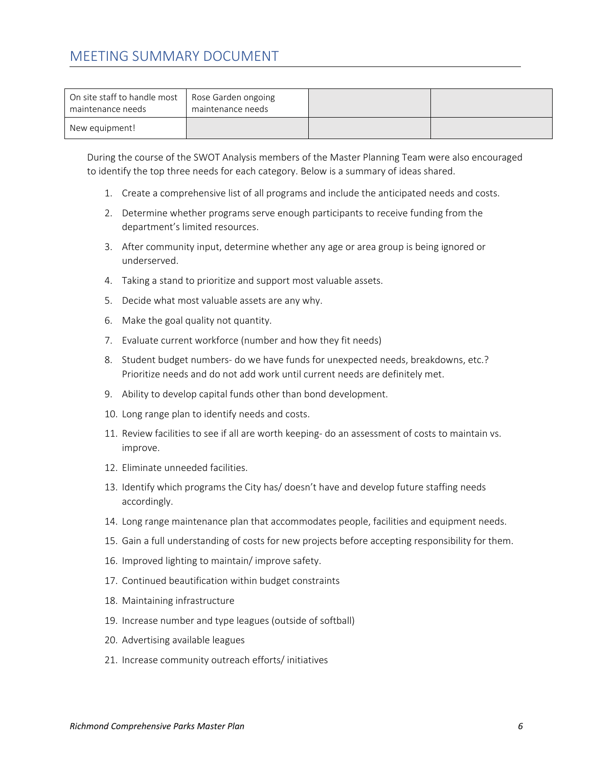## MEETING SUMMARY DOCUMENT

| On site staff to handle most<br>maintenance needs | Rose Garden ongoing<br>maintenance needs |  |
|---------------------------------------------------|------------------------------------------|--|
| New equipment!                                    |                                          |  |

During the course of the SWOT Analysis members of the Master Planning Team were also encouraged to identify the top three needs for each category. Below is a summary of ideas shared.

- 1. Create a comprehensive list of all programs and include the anticipated needs and costs.
- 2. Determine whether programs serve enough participants to receive funding from the department's limited resources.
- 3. After community input, determine whether any age or area group is being ignored or underserved.
- 4. Taking a stand to prioritize and support most valuable assets.
- 5. Decide what most valuable assets are any why.
- 6. Make the goal quality not quantity.
- 7. Evaluate current workforce (number and how they fit needs)
- 8. Student budget numbers- do we have funds for unexpected needs, breakdowns, etc.? Prioritize needs and do not add work until current needs are definitely met.
- 9. Ability to develop capital funds other than bond development.
- 10. Long range plan to identify needs and costs.
- 11. Review facilities to see if all are worth keeping‐ do an assessment of costs to maintain vs. improve.
- 12. Eliminate unneeded facilities.
- 13. Identify which programs the City has/ doesn't have and develop future staffing needs accordingly.
- 14. Long range maintenance plan that accommodates people, facilities and equipment needs.
- 15. Gain a full understanding of costs for new projects before accepting responsibility for them.
- 16. Improved lighting to maintain/ improve safety.
- 17. Continued beautification within budget constraints
- 18. Maintaining infrastructure
- 19. Increase number and type leagues (outside of softball)
- 20. Advertising available leagues
- 21. Increase community outreach efforts/ initiatives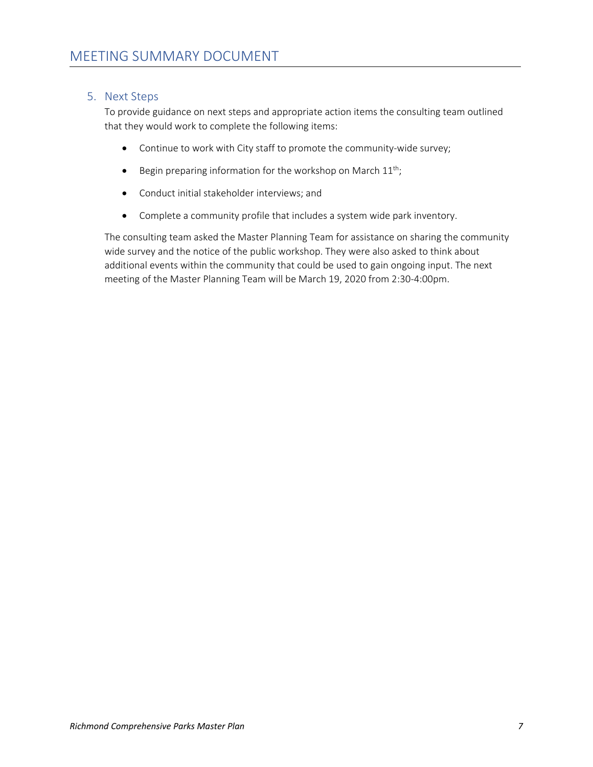#### 5. Next Steps

To provide guidance on next steps and appropriate action items the consulting team outlined that they would work to complete the following items:

- Continue to work with City staff to promote the community‐wide survey;
- **•** Begin preparing information for the workshop on March  $11^{th}$ ;
- Conduct initial stakeholder interviews; and
- Complete a community profile that includes a system wide park inventory.

The consulting team asked the Master Planning Team for assistance on sharing the community wide survey and the notice of the public workshop. They were also asked to think about additional events within the community that could be used to gain ongoing input. The next meeting of the Master Planning Team will be March 19, 2020 from 2:30‐4:00pm.